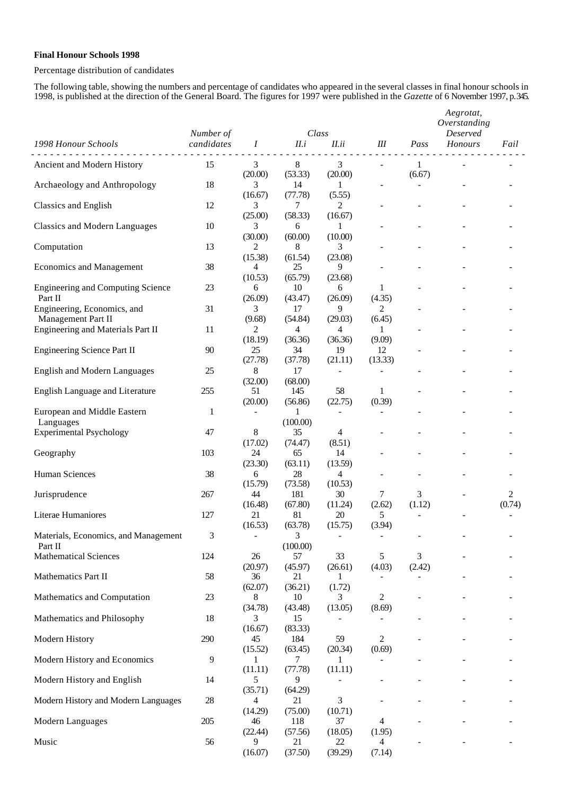## **Final Honour Schools 1998**

## Percentage distribution of candidates

The following table, showing the numbers and percentage of candidates who appeared in the several classes in final honour schools in 1998, is published at the direction of the General Board. The figures for 1997 were published in the *Gazette* of 6 November 1997, p.345.

|                                                     | Number of    |                                      | Class                     |                          |                          | Aegrotat,<br>Overstanding<br><b>Deserved</b> |         |             |
|-----------------------------------------------------|--------------|--------------------------------------|---------------------------|--------------------------|--------------------------|----------------------------------------------|---------|-------------|
| 1998 Honour Schools                                 | candidates   | Ι                                    | II.i                      | II.ii                    | Ш                        | Pass                                         | Honours | Fail        |
| Ancient and Modern History                          | 15           | 3<br>(20.00)                         | 8<br>(53.33)              | 3<br>(20.00)             |                          | $\mathbf{1}$<br>(6.67)                       |         |             |
| Archaeology and Anthropology                        | 18           | 3<br>(16.67)                         | 14<br>(77.78)             | 1<br>(5.55)              | $\overline{\phantom{0}}$ |                                              |         |             |
| <b>Classics and English</b>                         | 12           | 3<br>(25.00)                         | 7<br>(58.33)              | 2<br>(16.67)             |                          |                                              |         |             |
| <b>Classics and Modern Languages</b>                | 10           | 3<br>(30.00)                         | 6<br>(60.00)              | 1<br>(10.00)             |                          |                                              |         |             |
| Computation                                         | 13           | 2                                    | 8                         | 3<br>(23.08)             |                          |                                              |         |             |
| <b>Economics and Management</b>                     | 38           | (15.38)<br>$\overline{4}$<br>(10.53) | (61.54)<br>25<br>(65.79)  | 9<br>(23.68)             |                          |                                              |         |             |
| <b>Engineering and Computing Science</b><br>Part II | 23           | 6<br>(26.09)                         | 10<br>(43.47)             | 6<br>(26.09)             | 1<br>(4.35)              |                                              |         |             |
| Engineering, Economics, and<br>Management Part II   | 31           | 3<br>(9.68)                          | 17<br>(54.84)             | 9<br>(29.03)             | 2<br>(6.45)              |                                              |         |             |
| Engineering and Materials Part II                   | 11           | 2<br>(18.19)                         | $\overline{4}$<br>(36.36) | 4<br>(36.36)             | 1<br>(9.09)              |                                              |         |             |
| <b>Engineering Science Part II</b>                  | 90           | 25<br>(27.78)                        | 34<br>(37.78)             | 19<br>(21.11)            | 12<br>(13.33)            |                                              |         |             |
| <b>English and Modern Languages</b>                 | 25           | 8                                    | 17                        | $\overline{\phantom{a}}$ | $\overline{a}$           |                                              |         |             |
| English Language and Literature                     | 255          | (32.00)<br>51<br>(20.00)             | (68.00)<br>145<br>(56.86) | 58<br>(22.75)            | 1<br>(0.39)              |                                              |         |             |
| European and Middle Eastern<br>Languages            | $\mathbf{1}$ |                                      | 1<br>(100.00)             | $\overline{\phantom{a}}$ | $\overline{\phantom{0}}$ |                                              |         |             |
| <b>Experimental Psychology</b>                      | 47           | 8                                    | 35                        | 4                        |                          |                                              |         |             |
| Geography                                           | 103          | (17.02)<br>24<br>(23.30)             | (74.47)<br>65<br>(63.11)  | (8.51)<br>14<br>(13.59)  |                          |                                              |         |             |
| Human Sciences                                      | 38           | 6<br>(15.79)                         | 28<br>(73.58)             | 4<br>(10.53)             | $\overline{a}$           |                                              |         |             |
| Jurisprudence                                       | 267          | 44<br>(16.48)                        | 181<br>(67.80)            | 30<br>(11.24)            | 7<br>(2.62)              | 3<br>(1.12)                                  |         | 2<br>(0.74) |
| Literae Humaniores                                  | 127          | 21<br>(16.53)                        | 81<br>(63.78)             | 20<br>(15.75)            | 5<br>(3.94)              |                                              |         |             |
| Materials, Economics, and Management<br>Part II     | 3            | $\qquad \qquad \blacksquare$         | 3<br>(100.00)             |                          | $\overline{\phantom{0}}$ |                                              |         |             |
| <b>Mathematical Sciences</b>                        | 124          | 26<br>(20.97)                        | 57<br>(45.97)             | 33<br>(26.61)            | 5<br>(4.03)              | 3<br>(2.42)                                  |         |             |
| Mathematics Part II                                 | 58           | 36<br>(62.07)                        | 21<br>(36.21)             | 1<br>(1.72)              |                          |                                              |         |             |
| Mathematics and Computation                         | 23           | 8                                    | 10                        | 3                        | 2                        |                                              |         |             |
| Mathematics and Philosophy                          | 18           | (34.78)<br>3<br>(16.67)              | (43.48)<br>15<br>(83.33)  | (13.05)                  | (8.69)                   |                                              |         |             |
| Modern History                                      | 290          | 45<br>(15.52)                        | 184<br>(63.45)            | 59<br>(20.34)            | 2<br>(0.69)              |                                              |         |             |
| Modern History and Economics                        | 9            | 1<br>(11.11)                         | 7<br>(77.78)              | 1<br>(11.11)             |                          |                                              |         |             |
| Modern History and English                          | 14           | 5<br>(35.71)                         | 9<br>(64.29)              |                          |                          |                                              |         |             |
| Modern History and Modern Languages                 | $28\,$       | 4<br>(14.29)                         | 21<br>(75.00)             | 3<br>(10.71)             |                          |                                              |         |             |
| Modern Languages                                    | 205          | 46                                   | 118                       | 37                       | $\overline{4}$           |                                              |         |             |
| Music                                               | 56           | (22.44)<br>9<br>(16.07)              | (57.56)<br>21<br>(37.50)  | (18.05)<br>22<br>(39.29) | (1.95)<br>4<br>(7.14)    |                                              |         |             |